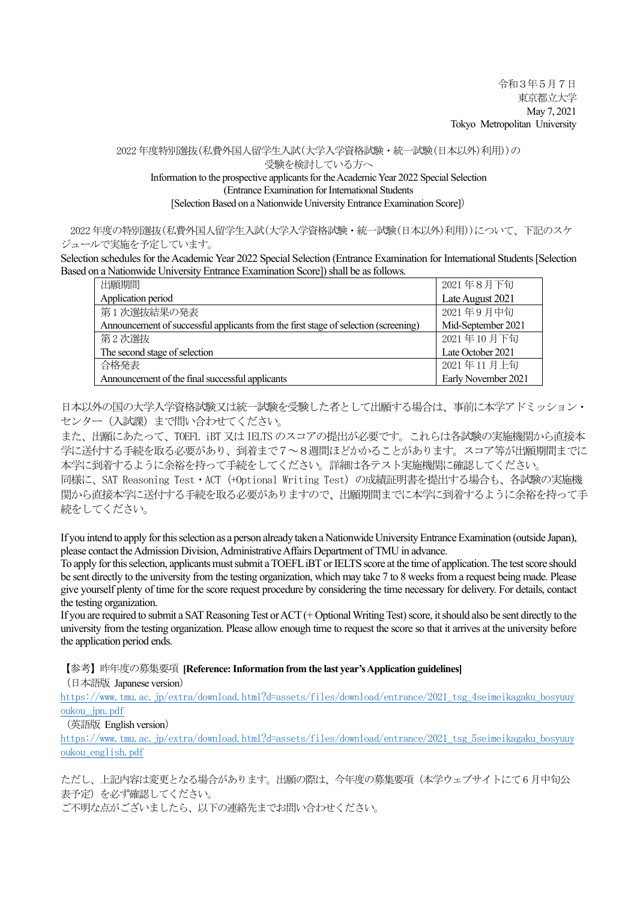2022 年度特別選抜(私費外国人留学生入試(大学入学資格試験・統一試験(日本以外)利用))の

受験を検討している方へ

Information to the prospective applicants for the Academic Year 2022 Special Selection (Entrance Examination for International Students [Selection Based on a Nationwide University Entrance Examination Score])

2022 年度の特別選抜(私費外国人留学生入試(大学入学資格試験・統一試験(日本以外)利用))について、下記のスケ ジュールで実施を予定しています。

Selection schedules for the Academic Year 2022 Special Selection (Entrance Examination for International Students [Selection Based on a Nationwide University Entrance Examination Score]) shall be as follows.

| 出願期間                                                                                | 2021年8月下旬           |
|-------------------------------------------------------------------------------------|---------------------|
| Application period                                                                  | Late August 2021    |
| 第1次選抜結果の発表                                                                          | 2021年9月中旬           |
| Announcement of successful applicants from the first stage of selection (screening) | Mid-September 2021  |
| 第2次選抜                                                                               | 2021年10月下旬          |
| The second stage of selection                                                       | Late October 2021   |
| 合格発表                                                                                | 2021年11月上旬          |
| Announcement of the final successful applicants                                     | Early November 2021 |

日本以外の国の大学入学資格試験又は統一試験を受験した者として出願する場合は、事前に本学アドミッション・ センター(入試課)まで問い合わせてください。

また、出願にあたって、TOEFL iBT 又は IELTS のスコアの提出が必要です。これらは各試験の実施機関から直接本 学に送付する手続を取る必要があり、到着まで7~8週間ほどかかることがあります。スコア等が出願期間までに 本学に到着するように余裕を持って手続をしてください。詳細は各テスト実施機関に確認してください。

同様に、SAT Reasoning Test・ACT(+Optional Writing Test)の成績証明書を提出する場合も、各試験の実施機 関から直接本学に送付する手続を取る必要がありますので、出願期間までに本学に到着するように余裕を持って手 続をしてください。

If you intend to apply for this selection as a person already taken a Nationwide University Entrance Examination (outside Japan), please contact the Admission Division, Administrative Affairs Department of TMU in advance.

To apply for thisselection, applicants must submit a TOEFL iBT or IELTS score at the time of application. The test score should be sent directly to the university from the testing organization, which may take 7 to 8 weeks from a request being made. Please give yourself plenty of time for the score request procedure by considering the time necessary for delivery. For details, contact the testing organization.

If you are required to submit a SAT Reasoning Test or ACT (+ Optional Writing Test)score, it should also be sent directly to the university from the testing organization. Please allow enough time to request the score so that it arrives at the university before the application period ends.

【参考】昨年度の募集要項 **[Reference: Information from the last year's Application guidelines]**

(日本語版 Japanese version)

[https://www.tmu.ac.jp/extra/download.html?d=assets/files/download/entrance/2021\\_tsg\\_4seimeikagaku\\_bosyuuy](https://www.tmu.ac.jp/extra/download.html?d=assets/files/download/entrance/2021_tsg_4seimeikagaku_bosyuuyoukou_jpn.pdf) [oukou\\_jpn.pdf](https://www.tmu.ac.jp/extra/download.html?d=assets/files/download/entrance/2021_tsg_4seimeikagaku_bosyuuyoukou_jpn.pdf)

(英語版 English version)

[https://www.tmu.ac.jp/extra/download.html?d=assets/files/download/entrance/2021\\_tsg\\_5seimeikagaku\\_bosyuuy](https://www.tmu.ac.jp/extra/download.html?d=assets/files/download/entrance/2021_tsg_5seimeikagaku_bosyuuyoukou_english.pdf) [oukou\\_english.pdf](https://www.tmu.ac.jp/extra/download.html?d=assets/files/download/entrance/2021_tsg_5seimeikagaku_bosyuuyoukou_english.pdf)

ただし、上記内容は変更となる場合があります。出願の際は、今年度の募集要項(本学ウェブサイトにて6 月中旬公 表予定)を必ず確認してください。

ご不明な点がございましたら、以下の連絡先までお問い合わせください。